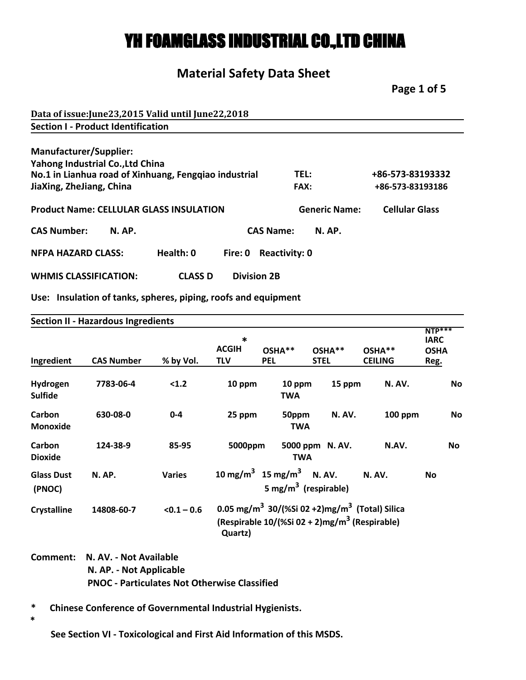# YH FOAMGLASS INDUSTRIAL CO.,LTD CHINA

# **Material Safety Data Sheet**

**Page 1 of 5**

| Data of issue: June 23, 2015 Valid until June 22, 2018 |                                      |                                   |                       |  |  |  |
|--------------------------------------------------------|--------------------------------------|-----------------------------------|-----------------------|--|--|--|
| <b>Section I - Product Identification</b>              |                                      |                                   |                       |  |  |  |
| <b>Manufacturer/Supplier:</b>                          |                                      |                                   |                       |  |  |  |
| Yahong Industrial Co., Ltd China                       |                                      |                                   |                       |  |  |  |
| No.1 in Lianhua road of Xinhuang, Fengqiao industrial  |                                      | TEL:                              | +86-573-83193332      |  |  |  |
| JiaXing, ZheJiang, China                               |                                      | <b>FAX:</b>                       | +86-573-83193186      |  |  |  |
| <b>Product Name: CELLULAR GLASS INSULATION</b>         |                                      | <b>Generic Name:</b>              | <b>Cellular Glass</b> |  |  |  |
| <b>CAS Number:</b><br><b>N. AP.</b>                    |                                      | <b>CAS Name:</b><br><b>N. AP.</b> |                       |  |  |  |
| <b>NFPA HAZARD CLASS:</b>                              | Health: 0<br>Fire: 0                 | <b>Reactivity: 0</b>              |                       |  |  |  |
| <b>WHMIS CLASSIFICATION:</b>                           | <b>Division 2B</b><br><b>CLASS D</b> |                                   |                       |  |  |  |

**Use: Insulation of tanks, spheres, piping, roofs and equipment**

|                             | <b>Section II - Hazardous Ingredients</b> | $\ast$        |                            |                                                                                                                                       |                       |                          | $NTP***$<br><b>IARC</b> |
|-----------------------------|-------------------------------------------|---------------|----------------------------|---------------------------------------------------------------------------------------------------------------------------------------|-----------------------|--------------------------|-------------------------|
| Ingredient                  | <b>CAS Number</b>                         | % by Vol.     | <b>ACGIH</b><br><b>TLV</b> | OSHA**<br><b>PEL</b>                                                                                                                  | OSHA**<br><b>STEL</b> | OSHA**<br><b>CEILING</b> | <b>OSHA</b><br>Reg.     |
| Hydrogen<br><b>Sulfide</b>  | 7783-06-4                                 | < 1.2         | 10 ppm                     | 10 ppm<br><b>TWA</b>                                                                                                                  | 15 ppm                | N. AV.                   | No                      |
| Carbon<br>Monoxide          | 630-08-0                                  | $0-4$         | 25 ppm                     | 50ppm<br><b>TWA</b>                                                                                                                   | N. AV.                | 100 ppm                  | No                      |
| Carbon<br><b>Dioxide</b>    | 124-38-9                                  | 85-95         | 5000ppm                    | <b>TWA</b>                                                                                                                            | 5000 ppm N. AV.       | N.AV.                    | No.                     |
| <b>Glass Dust</b><br>(PNOC) | N. AP.                                    | <b>Varies</b> |                            | 10 mg/m <sup>3</sup> 15 mg/m <sup>3</sup> N. AV.<br>5 mg/m <sup>3</sup> (respirable)                                                  |                       | N. AV.                   | No                      |
| <b>Crystalline</b>          | 14808-60-7                                | $< 0.1 - 0.6$ | Quartz)                    | 0.05 mg/m <sup>3</sup> 30/(%Si 02 +2)mg/m <sup>3</sup> (Total) Silica<br>(Respirable $10/(%$ Si 02 + 2)mg/m <sup>3</sup> (Respirable) |                       |                          |                         |

**Comment: N. AV. - Not Available N. AP. - Not Applicable PNOC - Particulates Not Otherwise Classified**

**\* Chinese Conference of Governmental Industrial Hygienists.**

**\***

**See Section VI - Toxicological and First Aid Information of this MSDS.**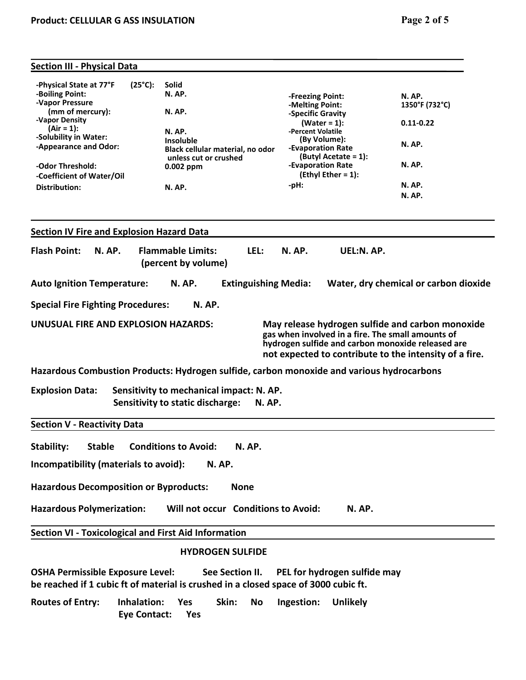| <b>Section III - Physical Data</b>                                                                                                                                                                                                                                                                                                                                                                                                                                                                                                                                                                                                                                                                                                                                             |
|--------------------------------------------------------------------------------------------------------------------------------------------------------------------------------------------------------------------------------------------------------------------------------------------------------------------------------------------------------------------------------------------------------------------------------------------------------------------------------------------------------------------------------------------------------------------------------------------------------------------------------------------------------------------------------------------------------------------------------------------------------------------------------|
| $(25^{\circ}C):$<br>-Physical State at 77°F<br>Solid<br>-Boiling Point:<br>N. AP.<br><b>N. AP.</b><br>-Freezing Point:<br>-Vapor Pressure<br>1350°F (732°C)<br>-Melting Point:<br>(mm of mercury):<br>N. AP.<br>-Specific Gravity<br>-Vapor Density<br>(Water = $1$ ):<br>$0.11 - 0.22$<br>$(Air = 1):$<br>-Percent Volatile<br>N. AP.<br>-Solubility in Water:<br>(By Volume):<br><b>Insoluble</b><br><b>N. AP.</b><br>-Appearance and Odor:<br>-Evaporation Rate<br>Black cellular material, no odor<br>(Butyl Acetate = 1):<br>unless cut or crushed<br><b>N. AP.</b><br>-Evaporation Rate<br>-Odor Threshold:<br>$0.002$ ppm<br>$[Ethyl Ethernet = 1]:$<br>-Coefficient of Water/Oil<br><b>N. AP.</b><br>$ pH$ :<br><b>Distribution:</b><br><b>N. AP.</b><br><b>N. AP.</b> |
| <b>Section IV Fire and Explosion Hazard Data</b>                                                                                                                                                                                                                                                                                                                                                                                                                                                                                                                                                                                                                                                                                                                               |
| N. AP.<br><b>Flammable Limits:</b><br>LEL:<br><b>N. AP.</b><br><b>Flash Point:</b><br>UEL:N. AP.<br>(percent by volume)                                                                                                                                                                                                                                                                                                                                                                                                                                                                                                                                                                                                                                                        |
| <b>Auto Ignition Temperature:</b><br>N. AP.<br><b>Extinguishing Media:</b><br>Water, dry chemical or carbon dioxide                                                                                                                                                                                                                                                                                                                                                                                                                                                                                                                                                                                                                                                            |
| <b>Special Fire Fighting Procedures:</b><br>N. AP.                                                                                                                                                                                                                                                                                                                                                                                                                                                                                                                                                                                                                                                                                                                             |
| UNUSUAL FIRE AND EXPLOSION HAZARDS:<br>May release hydrogen sulfide and carbon monoxide<br>gas when involved in a fire. The small amounts of<br>hydrogen sulfide and carbon monoxide released are<br>not expected to contribute to the intensity of a fire.                                                                                                                                                                                                                                                                                                                                                                                                                                                                                                                    |
| Hazardous Combustion Products: Hydrogen sulfide, carbon monoxide and various hydrocarbons                                                                                                                                                                                                                                                                                                                                                                                                                                                                                                                                                                                                                                                                                      |
| <b>Explosion Data:</b><br>Sensitivity to mechanical impact: N. AP.<br><b>Sensitivity to static discharge:</b><br><b>N. AP.</b>                                                                                                                                                                                                                                                                                                                                                                                                                                                                                                                                                                                                                                                 |
| <b>Section V - Reactivity Data</b>                                                                                                                                                                                                                                                                                                                                                                                                                                                                                                                                                                                                                                                                                                                                             |
| <b>Stability:</b><br><b>Stable</b><br><b>Conditions to Avoid:</b><br>N. AP.                                                                                                                                                                                                                                                                                                                                                                                                                                                                                                                                                                                                                                                                                                    |
| Incompatibility (materials to avoid):<br>N. AP.                                                                                                                                                                                                                                                                                                                                                                                                                                                                                                                                                                                                                                                                                                                                |
| <b>Hazardous Decomposition or Byproducts:</b><br><b>None</b>                                                                                                                                                                                                                                                                                                                                                                                                                                                                                                                                                                                                                                                                                                                   |
| <b>Hazardous Polymerization:</b><br>Will not occur Conditions to Avoid:<br>N. AP.                                                                                                                                                                                                                                                                                                                                                                                                                                                                                                                                                                                                                                                                                              |
| <b>Section VI - Toxicological and First Aid Information</b>                                                                                                                                                                                                                                                                                                                                                                                                                                                                                                                                                                                                                                                                                                                    |
| <b>HYDROGEN SULFIDE</b>                                                                                                                                                                                                                                                                                                                                                                                                                                                                                                                                                                                                                                                                                                                                                        |
| <b>OSHA Permissible Exposure Level:</b><br>PEL for hydrogen sulfide may<br>See Section II.                                                                                                                                                                                                                                                                                                                                                                                                                                                                                                                                                                                                                                                                                     |

**be reached if 1 cubic ft ofmaterial is crushed in a closed space of 3000 cubic ft.**

**Routes of Entry: Inhalation: Yes Skin: No Ingestion: Unlikely Eye Contact: Yes**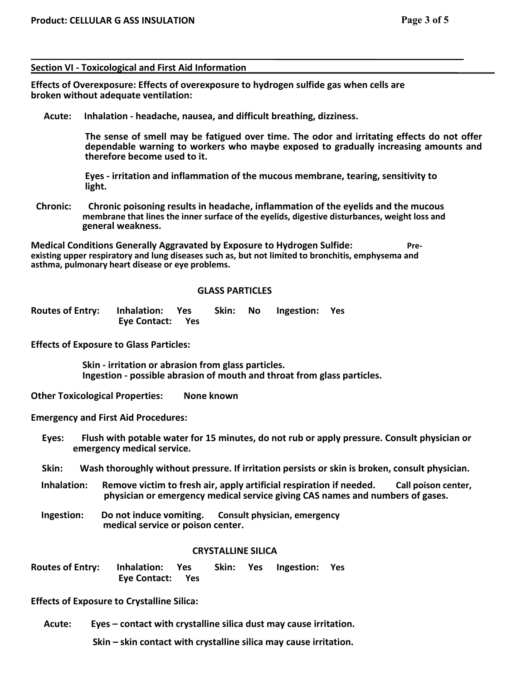#### **Section VI - Toxicological and First Aid Information**

**Effects of Overexposure: Effects of overexposure to hydrogen sulfide gas when cells are broken without adequate ventilation:**

**Acute: Inhalation - headache, nausea, and difficult breathing, dizziness.**

**The sense of smell may be fatigued over time. The odor and irritating effects do not offer dependable warning to workers who maybe exposed to gradually increasing amounts and therefore become used to it.**

**Eyes - irritation and inflammation of the mucous membrane, tearing, sensitivity to light.**

**Chronic: Chronic poisoning results in headache, inflammation of the eyelids and the mucous membrane that lines the inner surface of the eyelids, digestive disturbances, weight loss and general weakness.**

**Medical Conditions Generally Aggravated by Exposure to Hydrogen Sulfide: Pre existing upper respiratory and lung diseases such as, but not limited to bronchitis, emphysema and asthma, pulmonary heart disease or eye problems.**

# **GLASS PARTICLES**

**Routes of Entry: Inhalation: Yes Skin: No Ingestion: Yes Eye Contact: Yes**

**Effects of Exposure to Glass Particles:**

**Skin - irritation or abrasion from glass particles. Ingestion - possible abrasion of mouth and throat from glass particles.**

**Other Toxicological Properties: None known**

**Emergency and First Aid Procedures:**

- **Eyes: Flush with potable water for 15 minutes, do not rub or apply pressure. Consult physician or emergency medical service.**
- **Skin: Wash thoroughly without pressure. If irritation persists or skin is broken, consult physician.**
- **Inhalation: Remove victim to fresh air, apply artificial respiration if needed. Call poison center, physician or emergency medical service giving CAS names and numbers of gases.**
- **Ingestion: Do not induce vomiting. Consult physician, emergency medical service or poison center.**

#### **CRYSTALLINE SILICA**

**Routes of Entry: Inhalation: Yes Skin: Yes Ingestion: Yes Eye Contact: Yes**

**Effects of Exposure to Crystalline Silica:**

**Acute: Eyes – contact with crystalline silica dust may cause irritation.**

**Skin –skin contact with crystalline silica may cause irritation.**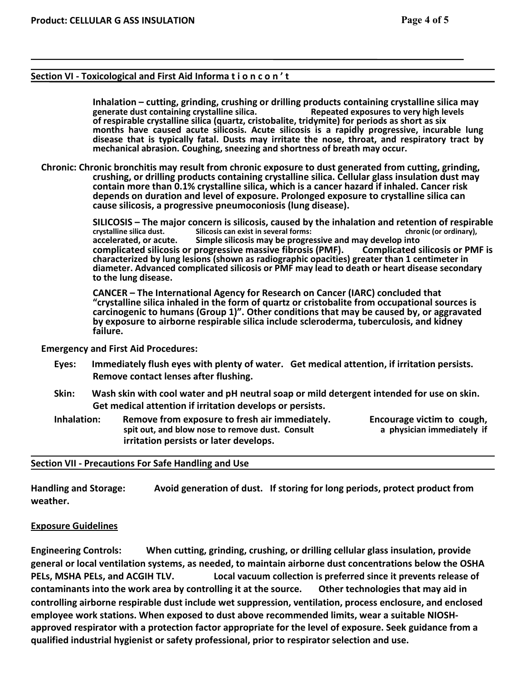# **Section VI - Toxicological and First Aid Informa t i o n c o n ' t**

**Inhalation –cutting, grinding, crushing or drilling products containing crystalline silica may generate** dust containing crystalline silica. **of respirable crystalline silica (quartz, cristobalite, tridymite) for periods as short as six months have caused acute silicosis. Acute silicosis is a rapidly progressive, incurable lung disease that is typically fatal. Dusts may irritate the nose, throat, and respiratory tract by mechanical abrasion. Coughing, sneezing and shortness of breath may occur.**

**Chronic: Chronic bronchitis may result from chronic exposure to dust generated from cutting, grinding, crushing, or drilling products containing crystalline silica. Cellular glass insulation dust may contain more than 0.1% crystalline silica, which is a cancer hazard if inhaled. Cancer risk depends on duration and level of exposure. Prolonged exposure to crystalline silica can cause silicosis, a progressive pneumoconiosis (lung disease).**

> **SILICOSIS – The major concern is silicosis, caused bythe inhalation and retention of respirable crystalline silica dust. Silicosis** can exist in several forms:<br>
> accelerated, or acute. **Simple silicosis may be progre accelerated, or acute. Simple silicosis may be progressive and may develop into complicated silicosis or progressive massive fibrosis (PMF). Complicated silicosis or PMF is characterized by lung lesions (shown as radiographic opacities) greater than 1 centimeter in diameter. Advanced complicated silicosis or PMF may lead to death or heart disease secondary to the lung disease.**

CANCER – The International Agency for Research on Cancer (IARC) concluded that<br>"crystalline silica inhaled in the form of quartz or cristobalite from occupational sources is **carcinogenic to humans (Group 1)". Other conditions that may be caused by, or aggravated by exposure to airborne respirable silica include scleroderma, tuberculosis, and kidney failure.**

**Emergency and First Aid Procedures:**

- **Eyes: Immediately flush eyes with plenty of water. Get medical attention, if irritation persists. Remove contact lenses after flushing.**
- **Skin: Wash skin with cool water and pH neutral soap or mild detergent intended for use on skin. Get medical attention if irritation develops or persists.**
- **Inhalation: Remove from exposure to fresh air immediately. Encourage victim to cough, spit out, and blow nose to remove dust. Consult a physician immediately if irritation persists or later develops.**

# **Section VII - Precautions For Safe Handling and Use**

**Handling and Storage: Avoid generation of dust. If storing for long periods, protect product from weather.**

# **Exposure Guidelines**

**Engineering Controls: When cutting, grinding, crushing, or drilling cellular glass insulation, provide general or local ventilation systems, as needed, to maintain airborne dust concentrations below the OSHA PELs, MSHA PELs, and ACGIH TLV. Local vacuum collection is preferred since it prevents release of contaminants into the work area by controlling it at the source. Other technologies that may aid in controlling airborne respirable dust include wet suppression, ventilation, process enclosure, and enclosed employee work stations. When exposed to dust above recommended limits, wear a suitable NIOSH approved respirator with a protection factor appropriate for the level of exposure. Seek guidance from a qualified industrial hygienist or safety professional, prior to respirator selection and use.**